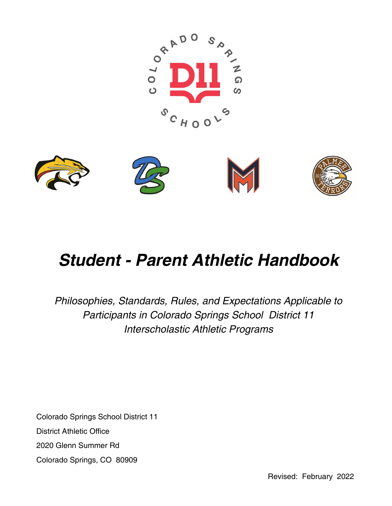



# *Student - Parent Athletic Handbook*

*Philosophies, Standards, Rules, and Expectations Applicable to Participants in Colorado Springs School District 11 Interscholastic Athletic Programs*

Colorado Springs School District 11 District Athletic Office 2020 Glenn Summer Rd Colorado Springs, CO 80909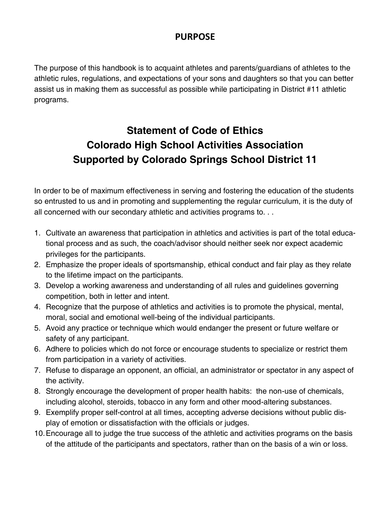### **PURPOSE**

The purpose of this handbook is to acquaint athletes and parents/guardians of athletes to the athletic rules, regulations, and expectations of your sons and daughters so that you can better assist us in making them as successful as possible while participating in District #11 athletic programs.

# **Statement of Code of Ethics Colorado High School Activities Association Supported by Colorado Springs School District 11**

In order to be of maximum effectiveness in serving and fostering the education of the students so entrusted to us and in promoting and supplementing the regular curriculum, it is the duty of all concerned with our secondary athletic and activities programs to. . .

- 1. Cultivate an awareness that participation in athletics and activities is part of the total educational process and as such, the coach/advisor should neither seek nor expect academic privileges for the participants.
- 2. Emphasize the proper ideals of sportsmanship, ethical conduct and fair play as they relate to the lifetime impact on the participants.
- 3. Develop a working awareness and understanding of all rules and guidelines governing competition, both in letter and intent.
- 4. Recognize that the purpose of athletics and activities is to promote the physical, mental, moral, social and emotional well-being of the individual participants.
- 5. Avoid any practice or technique which would endanger the present or future welfare or safety of any participant.
- 6. Adhere to policies which do not force or encourage students to specialize or restrict them from participation in a variety of activities.
- 7. Refuse to disparage an opponent, an official, an administrator or spectator in any aspect of the activity.
- 8. Strongly encourage the development of proper health habits: the non-use of chemicals, including alcohol, steroids, tobacco in any form and other mood-altering substances.
- 9. Exemplify proper self-control at all times, accepting adverse decisions without public display of emotion or dissatisfaction with the officials or judges.
- 10.Encourage all to judge the true success of the athletic and activities programs on the basis of the attitude of the participants and spectators, rather than on the basis of a win or loss.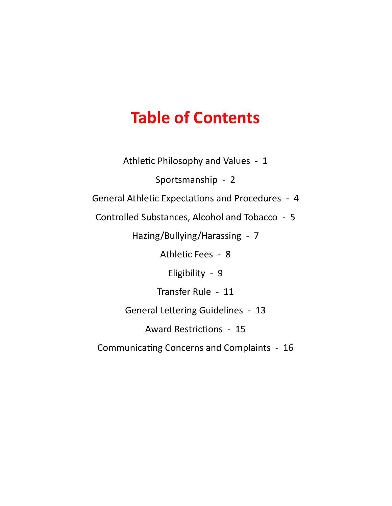# **Table of Contents**

Athletic Philosophy and Values - 1

Sportsmanship - 2

General Athletic Expectations and Procedures - 4

Controlled Substances, Alcohol and Tobacco - 5

Hazing/Bullying/Harassing - 7

Athletic Fees - 8

Eligibility - 9

Transfer Rule - 11

General Lettering Guidelines - 13

Award Restrictions - 15

Communicating Concerns and Complaints - 16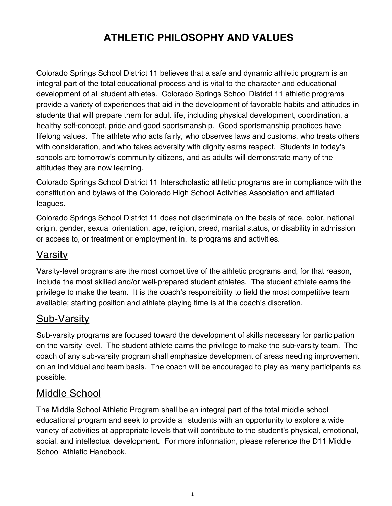# **ATHLETIC PHILOSOPHY AND VALUES**

Colorado Springs School District 11 believes that a safe and dynamic athletic program is an integral part of the total educational process and is vital to the character and educational development of all student athletes. Colorado Springs School District 11 athletic programs provide a variety of experiences that aid in the development of favorable habits and attitudes in students that will prepare them for adult life, including physical development, coordination, a healthy self-concept, pride and good sportsmanship. Good sportsmanship practices have lifelong values. The athlete who acts fairly, who observes laws and customs, who treats others with consideration, and who takes adversity with dignity earns respect. Students in today's schools are tomorrow's community citizens, and as adults will demonstrate many of the attitudes they are now learning.

Colorado Springs School District 11 Interscholastic athletic programs are in compliance with the constitution and bylaws of the Colorado High School Activities Association and affiliated leagues.

Colorado Springs School District 11 does not discriminate on the basis of race, color, national origin, gender, sexual orientation, age, religion, creed, marital status, or disability in admission or access to, or treatment or employment in, its programs and activities.

## Varsity

Varsity-level programs are the most competitive of the athletic programs and, for that reason, include the most skilled and/or well-prepared student athletes. The student athlete earns the privilege to make the team. It is the coach's responsibility to field the most competitive team available; starting position and athlete playing time is at the coach's discretion.

### Sub-Varsity

Sub-varsity programs are focused toward the development of skills necessary for participation on the varsity level. The student athlete earns the privilege to make the sub-varsity team. The coach of any sub-varsity program shall emphasize development of areas needing improvement on an individual and team basis. The coach will be encouraged to play as many participants as possible.

### Middle School

The Middle School Athletic Program shall be an integral part of the total middle school educational program and seek to provide all students with an opportunity to explore a wide variety of activities at appropriate levels that will contribute to the student's physical, emotional, social, and intellectual development. For more information, please reference the D11 Middle School Athletic Handbook.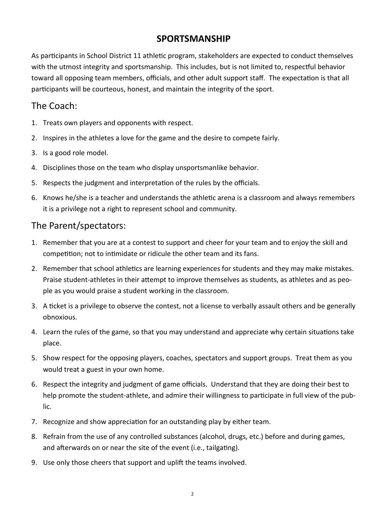### **SPORTSMANSHIP**

As participants in School District 11 athletic program, stakeholders are expected to conduct themselves with the utmost integrity and sportsmanship. This includes, but is not limited to, respectful behavior toward all opposing team members, officials, and other adult support staff. The expectation is that all participants will be courteous, honest, and maintain the integrity of the sport.

### The Coach:

- 1. Treats own players and opponents with respect.
- 2. Inspires in the athletes a love for the game and the desire to compete fairly.
- 3. Is a good role model.
- 4. Disciplines those on the team who display unsportsmanlike behavior.
- 5. Respects the judgment and interpretation of the rules by the officials.
- 6. Knows he/she is a teacher and understands the athletic arena is a classroom and always remembers it is a privilege not a right to represent school and community.

### The Parent/spectators:

- 1. Remember that you are at a contest to support and cheer for your team and to enjoy the skill and competition; not to intimidate or ridicule the other team and its fans.
- 2. Remember that school athletics are learning experiences for students and they may make mistakes. Praise student-athletes in their attempt to improve themselves as students, as athletes and as people as you would praise a student working in the classroom.
- 3. A ticket is a privilege to observe the contest, not a license to verbally assault others and be generally obnoxious.
- 4. Learn the rules of the game, so that you may understand and appreciate why certain situations take place.
- 5. Show respect for the opposing players, coaches, spectators and support groups. Treat them as you would treat a guest in your own home.
- 6. Respect the integrity and judgment of game officials. Understand that they are doing their best to help promote the student-athlete, and admire their willingness to participate in full view of the public.
- 7. Recognize and show appreciation for an outstanding play by either team.
- 8. Refrain from the use of any controlled substances (alcohol, drugs, etc.) before and during games, and afterwards on or near the site of the event (i.e., tailgating).
- 9. Use only those cheers that support and uplift the teams involved.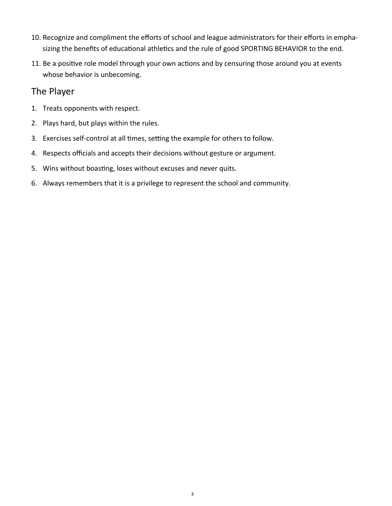- 10. Recognize and compliment the efforts of school and league administrators for their efforts in emphasizing the benefits of educational athletics and the rule of good SPORTING BEHAVIOR to the end.
- 11. Be a positive role model through your own actions and by censuring those around you at events whose behavior is unbecoming.

#### The Player

- 1. Treats opponents with respect.
- 2. Plays hard, but plays within the rules.
- 3. Exercises self-control at all times, setting the example for others to follow.
- 4. Respects officials and accepts their decisions without gesture or argument.
- 5. Wins without boasting, loses without excuses and never quits.
- 6. Always remembers that it is a privilege to represent the school and community.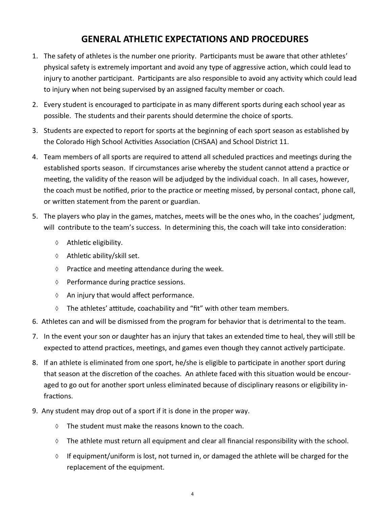### **GENERAL ATHLETIC EXPECTATIONS AND PROCEDURES**

- 1. The safety of athletes is the number one priority. Participants must be aware that other athletes' physical safety is extremely important and avoid any type of aggressive action, which could lead to injury to another participant. Participants are also responsible to avoid any activity which could lead to injury when not being supervised by an assigned faculty member or coach.
- 2. Every student is encouraged to participate in as many different sports during each school year as possible. The students and their parents should determine the choice of sports.
- 3. Students are expected to report for sports at the beginning of each sport season as established by the Colorado High School Activities Association (CHSAA) and School District 11.
- 4. Team members of all sports are required to attend all scheduled practices and meetings during the established sports season. If circumstances arise whereby the student cannot attend a practice or meeting, the validity of the reason will be adjudged by the individual coach. In all cases, however, the coach must be notified, prior to the practice or meeting missed, by personal contact, phone call, or written statement from the parent or guardian.
- 5. The players who play in the games, matches, meets will be the ones who, in the coaches' judgment, will contribute to the team's success. In determining this, the coach will take into consideration:
	- Athletic eligibility.
	- $\Diamond$  Athletic ability/skill set.
	- $\Diamond$  Practice and meeting attendance during the week.
	- $\Diamond$  Performance during practice sessions.
	- $\Diamond$  An injury that would affect performance.
	- $\Diamond$  The athletes' attitude, coachability and "fit" with other team members.
- 6. Athletes can and will be dismissed from the program for behavior that is detrimental to the team.
- 7. In the event your son or daughter has an injury that takes an extended time to heal, they will still be expected to attend practices, meetings, and games even though they cannot actively participate.
- 8. If an athlete is eliminated from one sport, he/she is eligible to participate in another sport during that season at the discretion of the coaches. An athlete faced with this situation would be encouraged to go out for another sport unless eliminated because of disciplinary reasons or eligibility infractions.
- 9. Any student may drop out of a sport if it is done in the proper way.
	- $\Diamond$  The student must make the reasons known to the coach.
	- $\Diamond$  The athlete must return all equipment and clear all financial responsibility with the school.
	- $\Diamond$  If equipment/uniform is lost, not turned in, or damaged the athlete will be charged for the replacement of the equipment.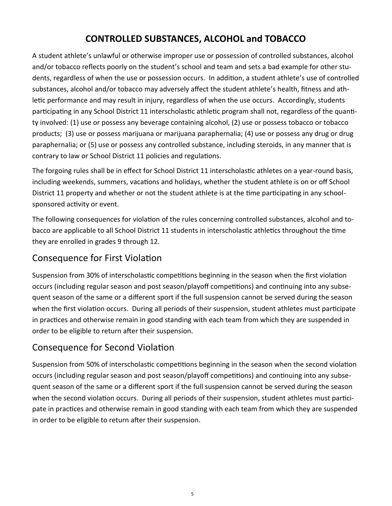### **CONTROLLED SUBSTANCES, ALCOHOL and TOBACCO**

A student athlete's unlawful or otherwise improper use or possession of controlled substances, alcohol and/or tobacco reflects poorly on the student's school and team and sets a bad example for other students, regardless of when the use or possession occurs. In addition, a student athlete's use of controlled substances, alcohol and/or tobacco may adversely affect the student athlete's health, fitness and athletic performance and may result in injury, regardless of when the use occurs. Accordingly, students participating in any School District 11 interscholastic athletic program shall not, regardless of the quantity involved: (1) use or possess any beverage containing alcohol, (2) use or possess tobacco or tobacco products; (3) use or possess marijuana or marijuana paraphernalia; (4) use or possess any drug or drug paraphernalia; or (5) use or possess any controlled substance, including steroids, in any manner that is contrary to law or School District 11 policies and regulations.

The forgoing rules shall be in effect for School District 11 interscholastic athletes on a year-round basis, including weekends, summers, vacations and holidays, whether the student athlete is on or off School District 11 property and whether or not the student athlete is at the time participating in any schoolsponsored activity or event.

The following consequences for violation of the rules concerning controlled substances, alcohol and tobacco are applicable to all School District 11 students in interscholastic athletics throughout the time they are enrolled in grades 9 through 12.

### Consequence for First Violation

Suspension from 30% of interscholastic competitions beginning in the season when the first violation occurs (including regular season and post season/playoff competitions) and continuing into any subsequent season of the same or a different sport if the full suspension cannot be served during the season when the first violation occurs. During all periods of their suspension, student athletes must participate in practices and otherwise remain in good standing with each team from which they are suspended in order to be eligible to return after their suspension.

### Consequence for Second Violation

Suspension from 50% of interscholastic competitions beginning in the season when the second violation occurs (including regular season and post season/playoff competitions) and continuing into any subsequent season of the same or a different sport if the full suspension cannot be served during the season when the second violation occurs. During all periods of their suspension, student athletes must participate in practices and otherwise remain in good standing with each team from which they are suspended in order to be eligible to return after their suspension.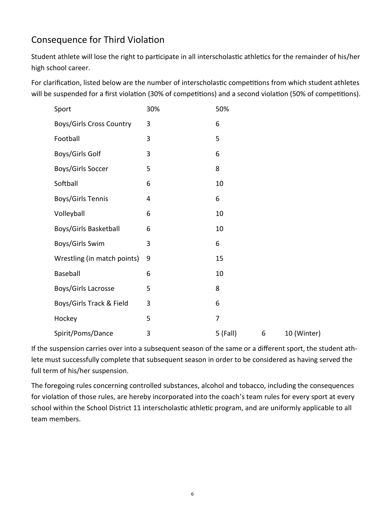## Consequence for Third Violation

Student athlete will lose the right to participate in all interscholastic athletics for the remainder of his/her high school career.

For clarification, listed below are the number of interscholastic competitions from which student athletes will be suspended for a first violation (30% of competitions) and a second violation (50% of competitions).

| Sport                           | 30% | 50%        |   |             |
|---------------------------------|-----|------------|---|-------------|
| <b>Boys/Girls Cross Country</b> | 3   | 6          |   |             |
| Football                        | 3   | 5          |   |             |
| Boys/Girls Golf                 | 3   | 6          |   |             |
| Boys/Girls Soccer               | 5   | 8          |   |             |
| Softball                        | 6   | 10         |   |             |
| Boys/Girls Tennis               | 4   | 6          |   |             |
| Volleyball                      | 6   | 10         |   |             |
| Boys/Girls Basketball           | 6   | 10         |   |             |
| Boys/Girls Swim                 | 3   | 6          |   |             |
| Wrestling (in match points)     | 9   | 15         |   |             |
| Baseball                        | 6   | 10         |   |             |
| Boys/Girls Lacrosse             | 5   | 8          |   |             |
| Boys/Girls Track & Field        | 3   | 6          |   |             |
| Hockey                          | 5   | 7          |   |             |
| Spirit/Poms/Dance               | 3   | $5$ (Fall) | 6 | 10 (Winter) |

If the suspension carries over into a subsequent season of the same or a different sport, the student athlete must successfully complete that subsequent season in order to be considered as having served the full term of his/her suspension.

The foregoing rules concerning controlled substances, alcohol and tobacco, including the consequences for violation of those rules, are hereby incorporated into the coach's team rules for every sport at every school within the School District 11 interscholastic athletic program, and are uniformly applicable to all team members.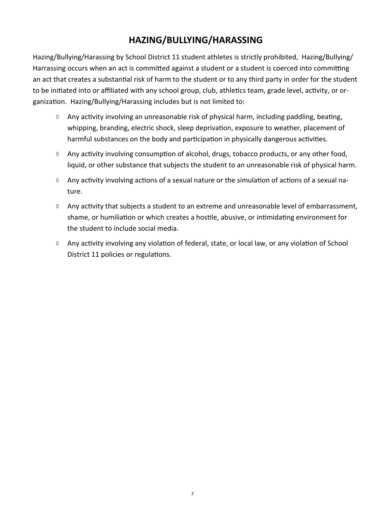### **HAZING/BULLYING/HARASSING**

Hazing/Bullying/Harassing by School District 11 student athletes is strictly prohibited, Hazing/Bullying/ Harrassing occurs when an act is committed against a student or a student is coerced into committing an act that creates a substantial risk of harm to the student or to any third party in order for the student to be initiated into or affiliated with any school group, club, athletics team, grade level, activity, or organization. Hazing/Bullying/Harassing includes but is not limited to:

- Any activity involving an unreasonable risk of physical harm, including paddling, beating, whipping, branding, electric shock, sleep deprivation, exposure to weather, placement of harmful substances on the body and participation in physically dangerous activities.
- $\Diamond$  Any activity involving consumption of alcohol, drugs, tobacco products, or any other food, liquid, or other substance that subjects the student to an unreasonable risk of physical harm.
- $\Diamond$  Any activity involving actions of a sexual nature or the simulation of actions of a sexual nature.
- $\Diamond$  Any activity that subjects a student to an extreme and unreasonable level of embarrassment, shame, or humiliation or which creates a hostile, abusive, or intimidating environment for the student to include social media.
- Any activity involving any violation of federal, state, or local law, or any violation of School District 11 policies or regulations.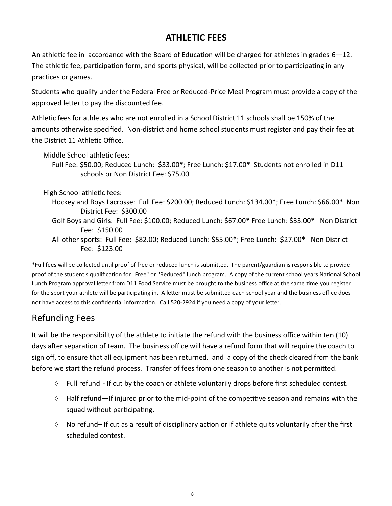### **ATHLETIC FEES**

An athletic fee in accordance with the Board of Education will be charged for athletes in grades 6—12. The athletic fee, participation form, and sports physical, will be collected prior to participating in any practices or games.

Students who qualify under the Federal Free or Reduced-Price Meal Program must provide a copy of the approved letter to pay the discounted fee.

Athletic fees for athletes who are not enrolled in a School District 11 schools shall be 150% of the amounts otherwise specified. Non-district and home school students must register and pay their fee at the District 11 Athletic Office.

Middle School athletic fees:

 Full Fee: \$50.00; Reduced Lunch: \$33.00**\***; Free Lunch: \$17.00**\*** Students not enrolled in D11 schools or Non District Fee: \$75.00

High School athletic fees:

- Hockey and Boys Lacrosse: Full Fee: \$200.00; Reduced Lunch: \$134.00**\***; Free Lunch: \$66.00**\*** Non District Fee: \$300.00
- Golf Boys and Girls: Full Fee: \$100.00; Reduced Lunch: \$67.00**\*** Free Lunch: \$33.00**\*** Non District Fee: \$150.00
- All other sports: Full Fee: \$82.00; Reduced Lunch: \$55.00**\***; Free Lunch: \$27.00**\*** Non District Fee: \$123.00

**\***Full fees will be collected until proof of free or reduced lunch is submitted. The parent/guardian is responsible to provide proof of the student's qualification for "Free" or "Reduced" lunch program. A copy of the current school years National School Lunch Program approval letter from D11 Food Service must be brought to the business office at the same time you register for the sport your athlete will be participating in. A letter must be submitted each school year and the business office does not have access to this confidential information. Call 520-2924 if you need a copy of your letter.

### Refunding Fees

It will be the responsibility of the athlete to initiate the refund with the business office within ten (10) days after separation of team. The business office will have a refund form that will require the coach to sign off, to ensure that all equipment has been returned, and a copy of the check cleared from the bank before we start the refund process. Transfer of fees from one season to another is not permitted.

- $\Diamond$  Full refund If cut by the coach or athlete voluntarily drops before first scheduled contest.
- $\Diamond$  Half refund—If injured prior to the mid-point of the competitive season and remains with the squad without participating.
- $\Diamond$  No refund– If cut as a result of disciplinary action or if athlete quits voluntarily after the first scheduled contest.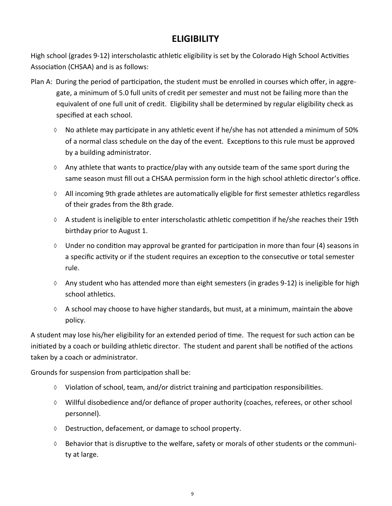### **ELIGIBILITY**

High school (grades 9-12) interscholastic athletic eligibility is set by the Colorado High School Activities Association (CHSAA) and is as follows:

- Plan A: During the period of participation, the student must be enrolled in courses which offer, in aggregate, a minimum of 5.0 full units of credit per semester and must not be failing more than the equivalent of one full unit of credit. Eligibility shall be determined by regular eligibility check as specified at each school.
	- $\Diamond$  No athlete may participate in any athletic event if he/she has not attended a minimum of 50% of a normal class schedule on the day of the event. Exceptions to this rule must be approved by a building administrator.
	- $\Diamond$  Any athlete that wants to practice/play with any outside team of the same sport during the same season must fill out a CHSAA permission form in the high school athletic director's office.
	- $\Diamond$  All incoming 9th grade athletes are automatically eligible for first semester athletics regardless of their grades from the 8th grade.
	- $\Diamond$  A student is ineligible to enter interscholastic athletic competition if he/she reaches their 19th birthday prior to August 1.
	- $\Diamond$  Under no condition may approval be granted for participation in more than four (4) seasons in a specific activity or if the student requires an exception to the consecutive or total semester rule.
	- $\Diamond$  Any student who has attended more than eight semesters (in grades 9-12) is ineligible for high school athletics.
	- $\Diamond$  A school may choose to have higher standards, but must, at a minimum, maintain the above policy.

A student may lose his/her eligibility for an extended period of time. The request for such action can be initiated by a coach or building athletic director. The student and parent shall be notified of the actions taken by a coach or administrator.

Grounds for suspension from participation shall be:

- $\Diamond$  Violation of school, team, and/or district training and participation responsibilities.
- Willful disobedience and/or defiance of proper authority (coaches, referees, or other school personnel).
- Destruction, defacement, or damage to school property.
- $\Diamond$  Behavior that is disruptive to the welfare, safety or morals of other students or the community at large.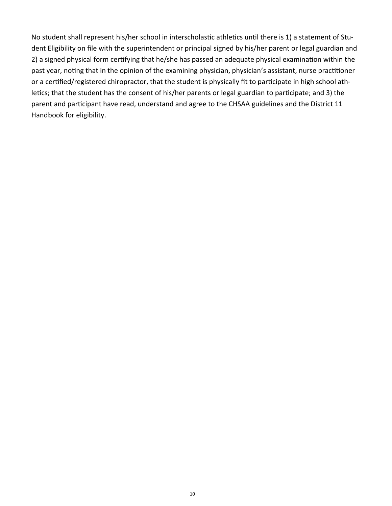No student shall represent his/her school in interscholastic athletics until there is 1) a statement of Student Eligibility on file with the superintendent or principal signed by his/her parent or legal guardian and 2) a signed physical form certifying that he/she has passed an adequate physical examination within the past year, noting that in the opinion of the examining physician, physician's assistant, nurse practitioner or a certified/registered chiropractor, that the student is physically fit to participate in high school athletics; that the student has the consent of his/her parents or legal guardian to participate; and 3) the parent and participant have read, understand and agree to the CHSAA guidelines and the District 11 Handbook for eligibility.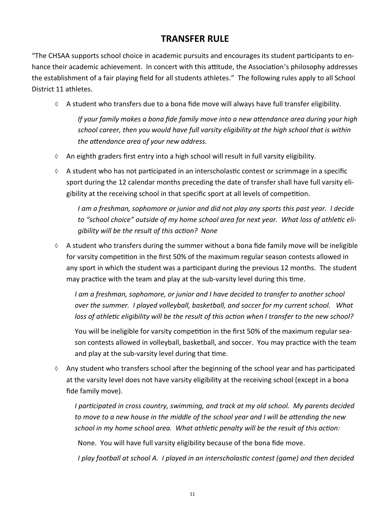### **TRANSFER RULE**

"The CHSAA supports school choice in academic pursuits and encourages its student participants to enhance their academic achievement. In concert with this attitude, the Association's philosophy addresses the establishment of a fair playing field for all students athletes." The following rules apply to all School District 11 athletes.

 $\Diamond$  A student who transfers due to a bona fide move will always have full transfer eligibility.

*If your family makes a bona fide family move into a new attendance area during your high school career, then you would have full varsity eligibility at the high school that is within the attendance area of your new address.*

- $\lozenge$  An eighth graders first entry into a high school will result in full varsity eligibility.
- $\Diamond$  A student who has not participated in an interscholastic contest or scrimmage in a specific sport during the 12 calendar months preceding the date of transfer shall have full varsity eligibility at the receiving school in that specific sport at all levels of competition.

*I am a freshman, sophomore or junior and did not play any sports this past year. I decide to "school choice" outside of my home school area for next year. What loss of athletic eligibility will be the result of this action? None*

 $\Diamond$  A student who transfers during the summer without a bona fide family move will be ineligible for varsity competition in the first 50% of the maximum regular season contests allowed in any sport in which the student was a participant during the previous 12 months. The student may practice with the team and play at the sub-varsity level during this time.

*I am a freshman, sophomore, or junior and I have decided to transfer to another school over the summer. I played volleyball, basketball, and soccer for my current school. What loss of athletic eligibility will be the result of this action when I transfer to the new school?*

You will be ineligible for varsity competition in the first 50% of the maximum regular season contests allowed in volleyball, basketball, and soccer. You may practice with the team and play at the sub-varsity level during that time.

 $\Diamond$  Any student who transfers school after the beginning of the school year and has participated at the varsity level does not have varsity eligibility at the receiving school (except in a bona fide family move).

*I participated in cross country, swimming, and track at my old school. My parents decided to move to a new house in the middle of the school year and I will be attending the new school in my home school area. What athletic penalty will be the result of this action:*

None. You will have full varsity eligibility because of the bona fide move.

*I play football at school A. I played in an interscholastic contest (game) and then decided*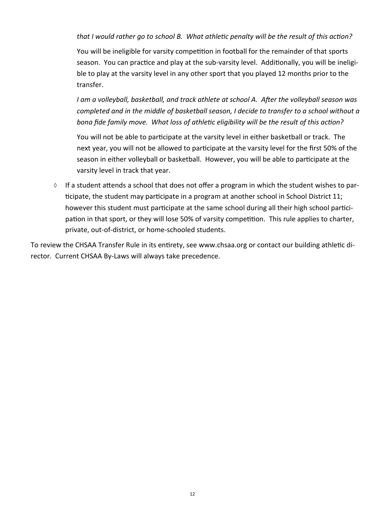*that I would rather go to school B. What athletic penalty will be the result of this action?*

You will be ineligible for varsity competition in football for the remainder of that sports season. You can practice and play at the sub-varsity level. Additionally, you will be ineligible to play at the varsity level in any other sport that you played 12 months prior to the transfer.

*I am a volleyball, basketball, and track athlete at school A. After the volleyball season was completed and in the middle of basketball season, I decide to transfer to a school without a bona fide family move. What loss of athletic eligibility will be the result of this action?*

You will not be able to participate at the varsity level in either basketball or track. The next year, you will not be allowed to participate at the varsity level for the first 50% of the season in either volleyball or basketball. However, you will be able to participate at the varsity level in track that year.

 $\Diamond$  If a student attends a school that does not offer a program in which the student wishes to participate, the student may participate in a program at another school in School District 11; however this student must participate at the same school during all their high school participation in that sport, or they will lose 50% of varsity competition. This rule applies to charter, private, out-of-district, or home-schooled students.

To review the CHSAA Transfer Rule in its entirety, see www.chsaa.org or contact our building athletic director. Current CHSAA By-Laws will always take precedence.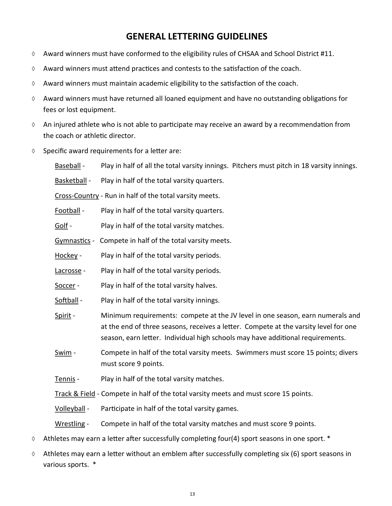### **GENERAL LETTERING GUIDELINES**

- $\Diamond$  Award winners must have conformed to the eligibility rules of CHSAA and School District #11.
- $\Diamond$  Award winners must attend practices and contests to the satisfaction of the coach.
- $\Diamond$  Award winners must maintain academic eligibility to the satisfaction of the coach.
- $\Diamond$  Award winners must have returned all loaned equipment and have no outstanding obligations for fees or lost equipment.
- $\Diamond$  An injured athlete who is not able to participate may receive an award by a recommendation from the coach or athletic director.
- $\Diamond$  Specific award requirements for a letter are:

Baseball - Play in half of all the total varsity innings. Pitchers must pitch in 18 varsity innings.

Basketball - Play in half of the total varsity quarters.

Cross-Country - Run in half of the total varsity meets.

Football - Play in half of the total varsity quarters.

Golf - Play in half of the total varsity matches.

Gymnastics - Compete in half of the total varsity meets.

Hockey - Play in half of the total varsity periods.

Lacrosse - Play in half of the total varsity periods.

Soccer - Play in half of the total varsity halves.

Softball - Play in half of the total varsity innings.

Spirit - Minimum requirements: compete at the JV level in one season, earn numerals and at the end of three seasons, receives a letter. Compete at the varsity level for one season, earn letter. Individual high schools may have additional requirements.

Swim - Compete in half of the total varsity meets. Swimmers must score 15 points; divers must score 9 points.

Tennis - Play in half of the total varsity matches.

Track & Field - Compete in half of the total varsity meets and must score 15 points.

Volleyball - Participate in half of the total varsity games.

Wrestling - Compete in half of the total varsity matches and must score 9 points.

- $\lozenge$  Athletes may earn a letter after successfully completing four(4) sport seasons in one sport.  $*$
- $\Diamond$  Athletes may earn a letter without an emblem after successfully completing six (6) sport seasons in various sports. \*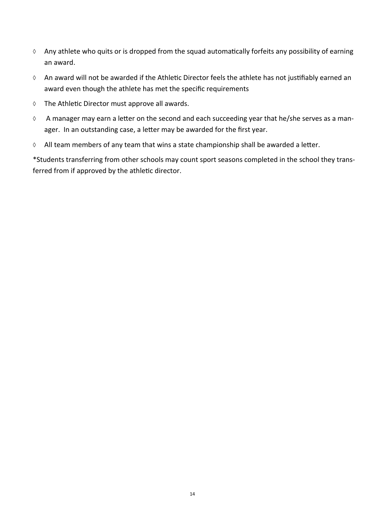- $\Diamond$  Any athlete who quits or is dropped from the squad automatically forfeits any possibility of earning an award.
- An award will not be awarded if the Athletic Director feels the athlete has not justifiably earned an award even though the athlete has met the specific requirements
- $\Diamond$  The Athletic Director must approve all awards.
- $\Diamond$  A manager may earn a letter on the second and each succeeding year that he/she serves as a manager. In an outstanding case, a letter may be awarded for the first year.
- $\lozenge$  All team members of any team that wins a state championship shall be awarded a letter.

\*Students transferring from other schools may count sport seasons completed in the school they transferred from if approved by the athletic director.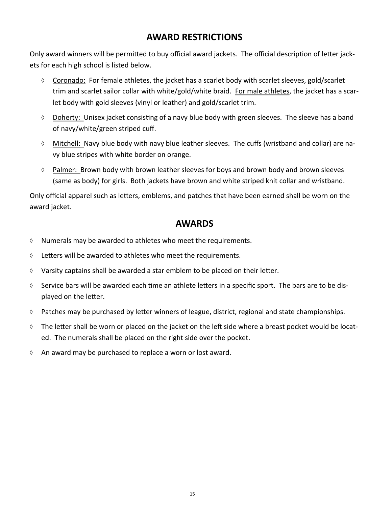### **AWARD RESTRICTIONS**

Only award winners will be permitted to buy official award jackets. The official description of letter jackets for each high school is listed below.

- $\lozenge$  Coronado: For female athletes, the jacket has a scarlet body with scarlet sleeves, gold/scarlet trim and scarlet sailor collar with white/gold/white braid. For male athletes, the jacket has a scarlet body with gold sleeves (vinyl or leather) and gold/scarlet trim.
- $\Diamond$  Doherty: Unisex jacket consisting of a navy blue body with green sleeves. The sleeve has a band of navy/white/green striped cuff.
- Mitchell: Navy blue body with navy blue leather sleeves. The cuffs (wristband and collar) are navy blue stripes with white border on orange.
- $\Diamond$  Palmer: Brown body with brown leather sleeves for boys and brown body and brown sleeves (same as body) for girls. Both jackets have brown and white striped knit collar and wristband.

Only official apparel such as letters, emblems, and patches that have been earned shall be worn on the award jacket.

### **AWARDS**

- $\Diamond$  Numerals may be awarded to athletes who meet the requirements.
- $\lozenge$  Letters will be awarded to athletes who meet the requirements.
- $\Diamond$  Varsity captains shall be awarded a star emblem to be placed on their letter.
- $\Diamond$  Service bars will be awarded each time an athlete letters in a specific sport. The bars are to be displayed on the letter.
- $\Diamond$  Patches may be purchased by letter winners of league, district, regional and state championships.
- The letter shall be worn or placed on the jacket on the left side where a breast pocket would be located. The numerals shall be placed on the right side over the pocket.
- $\Diamond$  An award may be purchased to replace a worn or lost award.